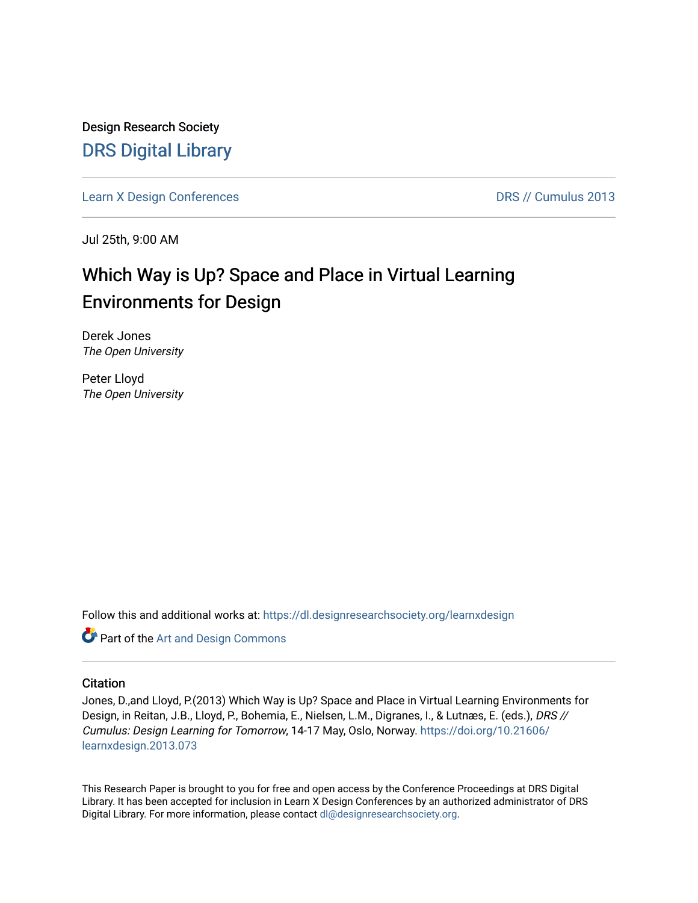Design Research Society [DRS Digital Library](https://dl.designresearchsociety.org/)

[Learn X Design Conferences](https://dl.designresearchsociety.org/learnxdesign) **DRS // Cumulus 2013** 

Jul 25th, 9:00 AM

# Which Way is Up? Space and Place in Virtual Learning Environments for Design

Derek Jones The Open University

Peter Lloyd The Open University

Follow this and additional works at: [https://dl.designresearchsociety.org/learnxdesign](https://dl.designresearchsociety.org/learnxdesign?utm_source=dl.designresearchsociety.org%2Flearnxdesign%2Flearnxdesign2013%2Fresearchpapers%2F72&utm_medium=PDF&utm_campaign=PDFCoverPages)

Part of the [Art and Design Commons](http://network.bepress.com/hgg/discipline/1049?utm_source=dl.designresearchsociety.org%2Flearnxdesign%2Flearnxdesign2013%2Fresearchpapers%2F72&utm_medium=PDF&utm_campaign=PDFCoverPages)

## **Citation**

Jones, D.,and Lloyd, P.(2013) Which Way is Up? Space and Place in Virtual Learning Environments for Design, in Reitan, J.B., Lloyd, P., Bohemia, E., Nielsen, L.M., Digranes, I., & Lutnæs, E. (eds.), DRS // Cumulus: Design Learning for Tomorrow, 14-17 May, Oslo, Norway. [https://doi.org/10.21606/](https://doi.org/10.21606/learnxdesign.2013.073) [learnxdesign.2013.073](https://doi.org/10.21606/learnxdesign.2013.073)

This Research Paper is brought to you for free and open access by the Conference Proceedings at DRS Digital Library. It has been accepted for inclusion in Learn X Design Conferences by an authorized administrator of DRS Digital Library. For more information, please contact [dl@designresearchsociety.org](mailto:dl@designresearchsociety.org).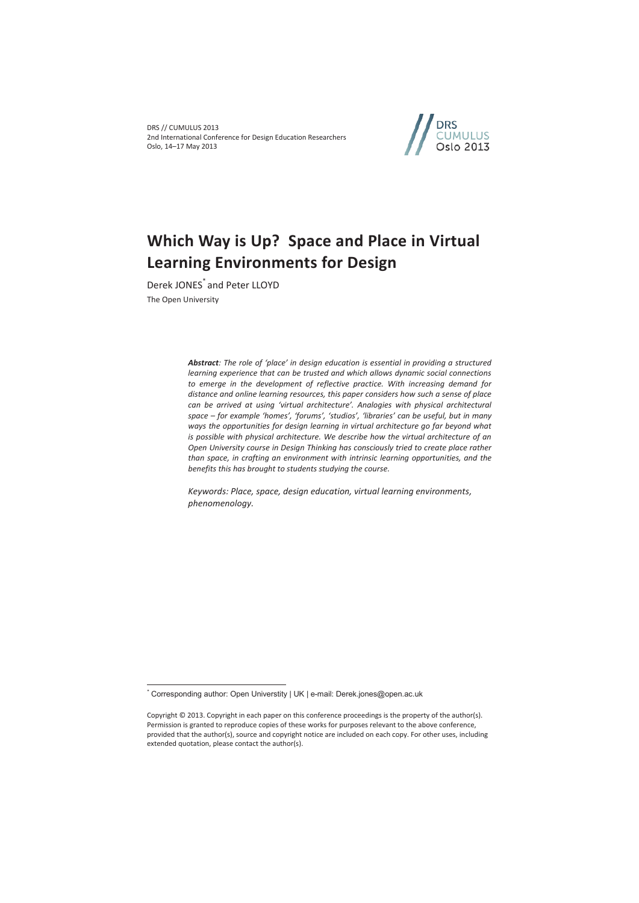DRS // CUMULUS 2013 2nd International Conference for Design Education Researchers Oslo, 14–17 May 2013



# **Which Way is Up? Space and Place in Virtual Learning Environments for Design**

Derek JONES\* and Peter LLOYD The Open University

> *Abstract: The role of 'place' in design education is essential in providing a structured learning experience that can be trusted and which allows dynamic social connections to emerge in the development of reflective practice. With increasing demand for distance and online learning resources, this paper considers how such a sense of place can be arrived at using 'virtual architecture'. Analogies with physical architectural space – for example 'homes', 'forums', 'studios', 'libraries' can be useful, but in many ways the opportunities for design learning in virtual architecture go far beyond what is possible with physical architecture. We describe how the virtual architecture of an Open University course in Design Thinking has consciously tried to create place rather than space, in crafting an environment with intrinsic learning opportunities, and the benefits this has brought to students studying the course.*

*Keywords: Place, space, design education, virtual learning environments, phenomenology.* 

 $\overline{a}$ 

<sup>\*</sup> Corresponding author: Open Universtity | UK | e-mail: Derek.jones@open.ac.uk

Copyright © 2013. Copyright in each paper on this conference proceedings is the property of the author(s). Permission is granted to reproduce copies of these works for purposes relevant to the above conference, provided that the author(s), source and copyright notice are included on each copy. For other uses, including extended quotation, please contact the author(s).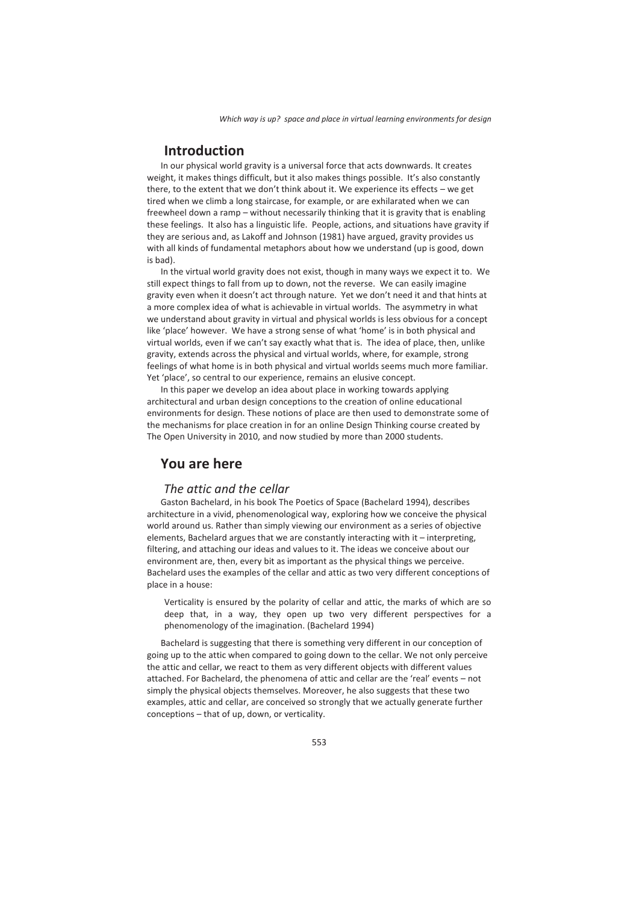# **Introduction**

In our physical world gravity is a universal force that acts downwards. It creates weight, it makes things difficult, but it also makes things possible. It's also constantly there, to the extent that we don't think about it. We experience its effects – we get tired when we climb a long staircase, for example, or are exhilarated when we can freewheel down a ramp – without necessarily thinking that it is gravity that is enabling these feelings. It also has a linguistic life. People, actions, and situations have gravity if they are serious and, as Lakoff and Johnson (1981) have argued, gravity provides us with all kinds of fundamental metaphors about how we understand (up is good, down is bad).

In the virtual world gravity does not exist, though in many ways we expect it to. We still expect things to fall from up to down, not the reverse. We can easily imagine gravity even when it doesn't act through nature. Yet we don't need it and that hints at a more complex idea of what is achievable in virtual worlds. The asymmetry in what we understand about gravity in virtual and physical worlds is less obvious for a concept like 'place' however. We have a strong sense of what 'home' is in both physical and virtual worlds, even if we can't say exactly what that is. The idea of place, then, unlike gravity, extends across the physical and virtual worlds, where, for example, strong feelings of what home is in both physical and virtual worlds seems much more familiar. Yet 'place', so central to our experience, remains an elusive concept.

In this paper we develop an idea about place in working towards applying architectural and urban design conceptions to the creation of online educational environments for design. These notions of place are then used to demonstrate some of the mechanisms for place creation in for an online Design Thinking course created by The Open University in 2010, and now studied by more than 2000 students.

## **You are here**

### *The attic and the cellar*

Gaston Bachelard, in his book The Poetics of Space (Bachelard 1994), describes architecture in a vivid, phenomenological way, exploring how we conceive the physical world around us. Rather than simply viewing our environment as a series of objective elements, Bachelard argues that we are constantly interacting with it – interpreting, filtering, and attaching our ideas and values to it. The ideas we conceive about our environment are, then, every bit as important as the physical things we perceive. Bachelard uses the examples of the cellar and attic as two very different conceptions of place in a house:

Verticality is ensured by the polarity of cellar and attic, the marks of which are so deep that, in a way, they open up two very different perspectives for a phenomenology of the imagination. (Bachelard 1994)

Bachelard is suggesting that there is something very different in our conception of going up to the attic when compared to going down to the cellar. We not only perceive the attic and cellar, we react to them as very different objects with different values attached. For Bachelard, the phenomena of attic and cellar are the 'real' events – not simply the physical objects themselves. Moreover, he also suggests that these two examples, attic and cellar, are conceived so strongly that we actually generate further conceptions – that of up, down, or verticality.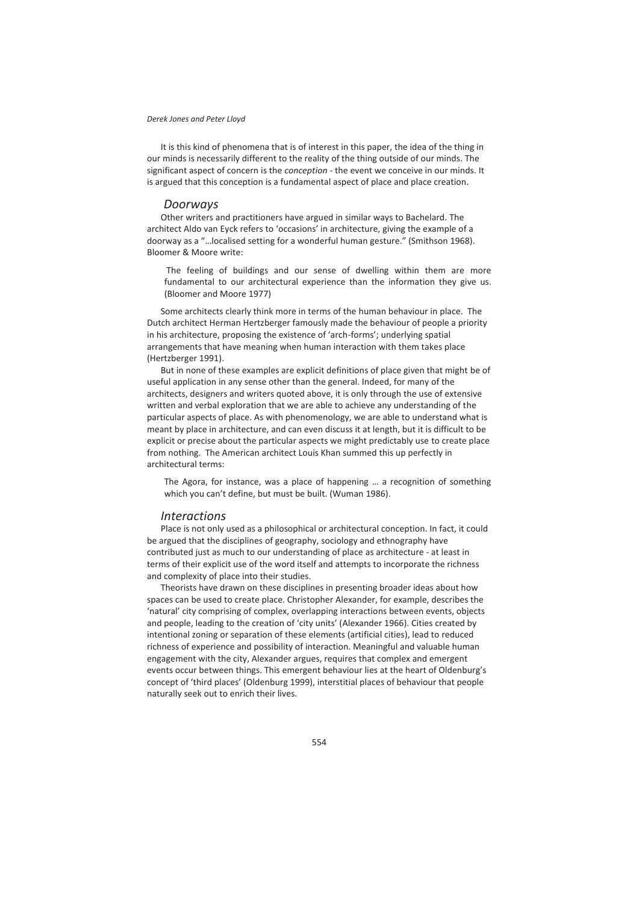It is this kind of phenomena that is of interest in this paper, the idea of the thing in our minds is necessarily different to the reality of the thing outside of our minds. The significant aspect of concern is the *conception* - the event we conceive in our minds. It is argued that this conception is a fundamental aspect of place and place creation.

#### *Doorways*

Other writers and practitioners have argued in similar ways to Bachelard. The architect Aldo van Eyck refers to 'occasions' in architecture, giving the example of a doorway as a "…localised setting for a wonderful human gesture." (Smithson 1968). Bloomer & Moore write:

 The feeling of buildings and our sense of dwelling within them are more fundamental to our architectural experience than the information they give us. (Bloomer and Moore 1977)

Some architects clearly think more in terms of the human behaviour in place. The Dutch architect Herman Hertzberger famously made the behaviour of people a priority in his architecture, proposing the existence of 'arch-forms'; underlying spatial arrangements that have meaning when human interaction with them takes place (Hertzberger 1991).

But in none of these examples are explicit definitions of place given that might be of useful application in any sense other than the general. Indeed, for many of the architects, designers and writers quoted above, it is only through the use of extensive written and verbal exploration that we are able to achieve any understanding of the particular aspects of place. As with phenomenology, we are able to understand what is meant by place in architecture, and can even discuss it at length, but it is difficult to be explicit or precise about the particular aspects we might predictably use to create place from nothing. The American architect Louis Khan summed this up perfectly in architectural terms:

The Agora, for instance, was a place of happening … a recognition of something which you can't define, but must be built. (Wuman 1986).

#### *Interactions*

Place is not only used as a philosophical or architectural conception. In fact, it could be argued that the disciplines of geography, sociology and ethnography have contributed just as much to our understanding of place as architecture - at least in terms of their explicit use of the word itself and attempts to incorporate the richness and complexity of place into their studies.

Theorists have drawn on these disciplines in presenting broader ideas about how spaces can be used to create place. Christopher Alexander, for example, describes the 'natural' city comprising of complex, overlapping interactions between events, objects and people, leading to the creation of 'city units' (Alexander 1966). Cities created by intentional zoning or separation of these elements (artificial cities), lead to reduced richness of experience and possibility of interaction. Meaningful and valuable human engagement with the city, Alexander argues, requires that complex and emergent events occur between things. This emergent behaviour lies at the heart of Oldenburg's concept of 'third places' (Oldenburg 1999), interstitial places of behaviour that people naturally seek out to enrich their lives.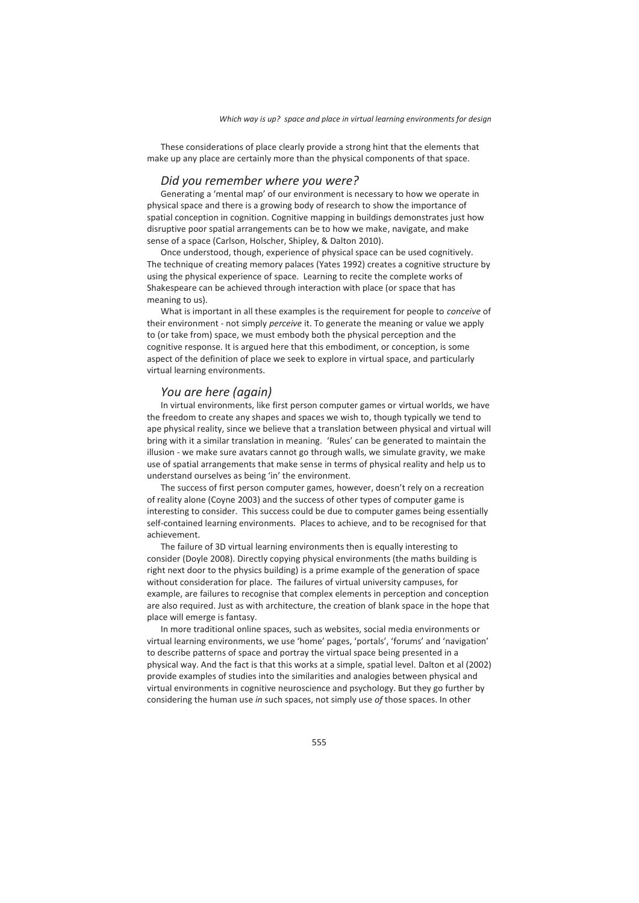These considerations of place clearly provide a strong hint that the elements that make up any place are certainly more than the physical components of that space.

#### *Did you remember where you were?*

Generating a 'mental map' of our environment is necessary to how we operate in physical space and there is a growing body of research to show the importance of spatial conception in cognition. Cognitive mapping in buildings demonstrates just how disruptive poor spatial arrangements can be to how we make, navigate, and make sense of a space (Carlson, Holscher, Shipley, & Dalton 2010).

Once understood, though, experience of physical space can be used cognitively. The technique of creating memory palaces (Yates 1992) creates a cognitive structure by using the physical experience of space. Learning to recite the complete works of Shakespeare can be achieved through interaction with place (or space that has meaning to us).

What is important in all these examples is the requirement for people to *conceive* of their environment - not simply *perceive* it. To generate the meaning or value we apply to (or take from) space, we must embody both the physical perception and the cognitive response. It is argued here that this embodiment, or conception, is some aspect of the definition of place we seek to explore in virtual space, and particularly virtual learning environments.

#### *You are here (again)*

In virtual environments, like first person computer games or virtual worlds, we have the freedom to create any shapes and spaces we wish to, though typically we tend to ape physical reality, since we believe that a translation between physical and virtual will bring with it a similar translation in meaning. 'Rules' can be generated to maintain the illusion - we make sure avatars cannot go through walls, we simulate gravity, we make use of spatial arrangements that make sense in terms of physical reality and help us to understand ourselves as being 'in' the environment.

The success of first person computer games, however, doesn't rely on a recreation of reality alone (Coyne 2003) and the success of other types of computer game is interesting to consider. This success could be due to computer games being essentially self-contained learning environments. Places to achieve, and to be recognised for that achievement.

The failure of 3D virtual learning environments then is equally interesting to consider (Doyle 2008). Directly copying physical environments (the maths building is right next door to the physics building) is a prime example of the generation of space without consideration for place. The failures of virtual university campuses, for example, are failures to recognise that complex elements in perception and conception are also required. Just as with architecture, the creation of blank space in the hope that place will emerge is fantasy.

In more traditional online spaces, such as websites, social media environments or virtual learning environments, we use 'home' pages, 'portals', 'forums' and 'navigation' to describe patterns of space and portray the virtual space being presented in a physical way. And the fact is that this works at a simple, spatial level. Dalton et al (2002) provide examples of studies into the similarities and analogies between physical and virtual environments in cognitive neuroscience and psychology. But they go further by considering the human use *in* such spaces, not simply use *of* those spaces. In other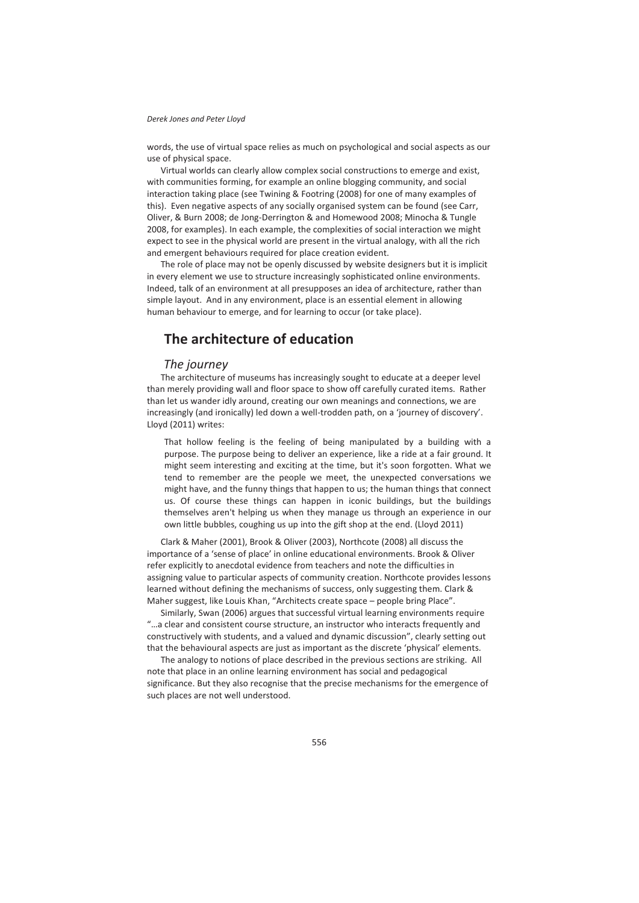words, the use of virtual space relies as much on psychological and social aspects as our use of physical space.

Virtual worlds can clearly allow complex social constructions to emerge and exist, with communities forming, for example an online blogging community, and social interaction taking place (see Twining & Footring (2008) for one of many examples of this). Even negative aspects of any socially organised system can be found (see Carr, Oliver, & Burn 2008; de Jong-Derrington & and Homewood 2008; Minocha & Tungle 2008, for examples). In each example, the complexities of social interaction we might expect to see in the physical world are present in the virtual analogy, with all the rich and emergent behaviours required for place creation evident.

The role of place may not be openly discussed by website designers but it is implicit in every element we use to structure increasingly sophisticated online environments. Indeed, talk of an environment at all presupposes an idea of architecture, rather than simple layout. And in any environment, place is an essential element in allowing human behaviour to emerge, and for learning to occur (or take place).

# **The architecture of education**

#### *The journey*

The architecture of museums has increasingly sought to educate at a deeper level than merely providing wall and floor space to show off carefully curated items. Rather than let us wander idly around, creating our own meanings and connections, we are increasingly (and ironically) led down a well-trodden path, on a 'journey of discovery'. Lloyd (2011) writes:

That hollow feeling is the feeling of being manipulated by a building with a purpose. The purpose being to deliver an experience, like a ride at a fair ground. It might seem interesting and exciting at the time, but it's soon forgotten. What we tend to remember are the people we meet, the unexpected conversations we might have, and the funny things that happen to us; the human things that connect us. Of course these things can happen in iconic buildings, but the buildings themselves aren't helping us when they manage us through an experience in our own little bubbles, coughing us up into the gift shop at the end. (Lloyd 2011)

Clark & Maher (2001), Brook & Oliver (2003), Northcote (2008) all discuss the importance of a 'sense of place' in online educational environments. Brook & Oliver refer explicitly to anecdotal evidence from teachers and note the difficulties in assigning value to particular aspects of community creation. Northcote provides lessons learned without defining the mechanisms of success, only suggesting them. Clark & Maher suggest, like Louis Khan, "Architects create space – people bring Place".

Similarly, Swan (2006) argues that successful virtual learning environments require "…a clear and consistent course structure, an instructor who interacts frequently and constructively with students, and a valued and dynamic discussion", clearly setting out that the behavioural aspects are just as important as the discrete 'physical' elements.

The analogy to notions of place described in the previous sections are striking. All note that place in an online learning environment has social and pedagogical significance. But they also recognise that the precise mechanisms for the emergence of such places are not well understood.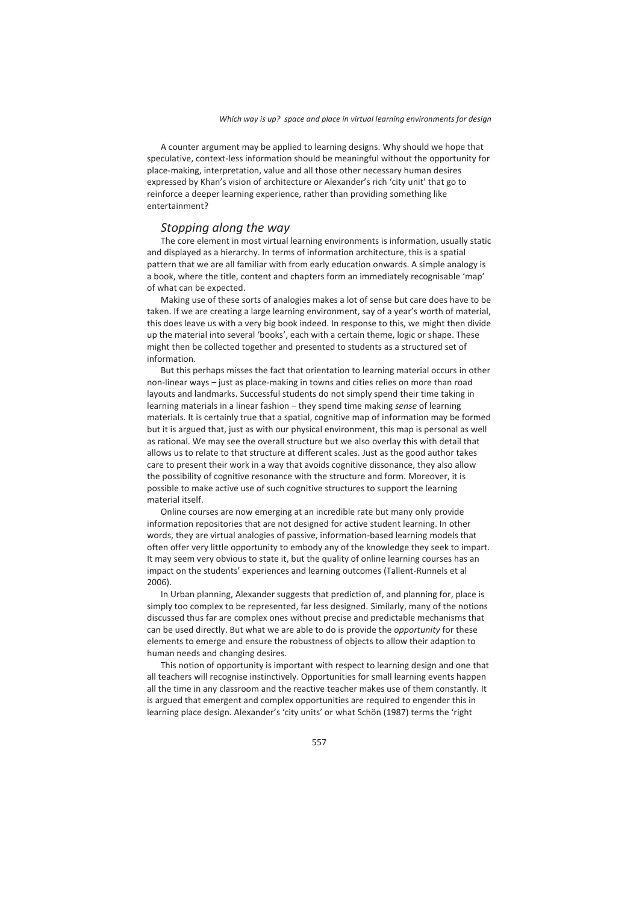A counter argument may be applied to learning designs. Why should we hope that speculative, context-less information should be meaningful without the opportunity for place-making, interpretation, value and all those other necessary human desires expressed by Khan's vision of architecture or Alexander's rich 'city unit' that go to reinforce a deeper learning experience, rather than providing something like entertainment?

### *Stopping along the way*

The core element in most virtual learning environments is information, usually static and displayed as a hierarchy. In terms of information architecture, this is a spatial pattern that we are all familiar with from early education onwards. A simple analogy is a book, where the title, content and chapters form an immediately recognisable 'map' of what can be expected.

Making use of these sorts of analogies makes a lot of sense but care does have to be taken. If we are creating a large learning environment, say of a year's worth of material, this does leave us with a very big book indeed. In response to this, we might then divide up the material into several 'books', each with a certain theme, logic or shape. These might then be collected together and presented to students as a structured set of information.

But this perhaps misses the fact that orientation to learning material occurs in other non-linear ways – just as place-making in towns and cities relies on more than road layouts and landmarks. Successful students do not simply spend their time taking in learning materials in a linear fashion – they spend time making *sense* of learning materials. It is certainly true that a spatial, cognitive map of information may be formed but it is argued that, just as with our physical environment, this map is personal as well as rational. We may see the overall structure but we also overlay this with detail that allows us to relate to that structure at different scales. Just as the good author takes care to present their work in a way that avoids cognitive dissonance, they also allow the possibility of cognitive resonance with the structure and form. Moreover, it is possible to make active use of such cognitive structures to support the learning material itself.

Online courses are now emerging at an incredible rate but many only provide information repositories that are not designed for active student learning. In other words, they are virtual analogies of passive, information-based learning models that often offer very little opportunity to embody any of the knowledge they seek to impart. It may seem very obvious to state it, but the quality of online learning courses has an impact on the students' experiences and learning outcomes (Tallent-Runnels et al 2006).

In Urban planning, Alexander suggests that prediction of, and planning for, place is simply too complex to be represented, far less designed. Similarly, many of the notions discussed thus far are complex ones without precise and predictable mechanisms that can be used directly. But what we are able to do is provide the *opportunity* for these elements to emerge and ensure the robustness of objects to allow their adaption to human needs and changing desires.

This notion of opportunity is important with respect to learning design and one that all teachers will recognise instinctively. Opportunities for small learning events happen all the time in any classroom and the reactive teacher makes use of them constantly. It is argued that emergent and complex opportunities are required to engender this in learning place design. Alexander's 'city units' or what Schön (1987) terms the 'right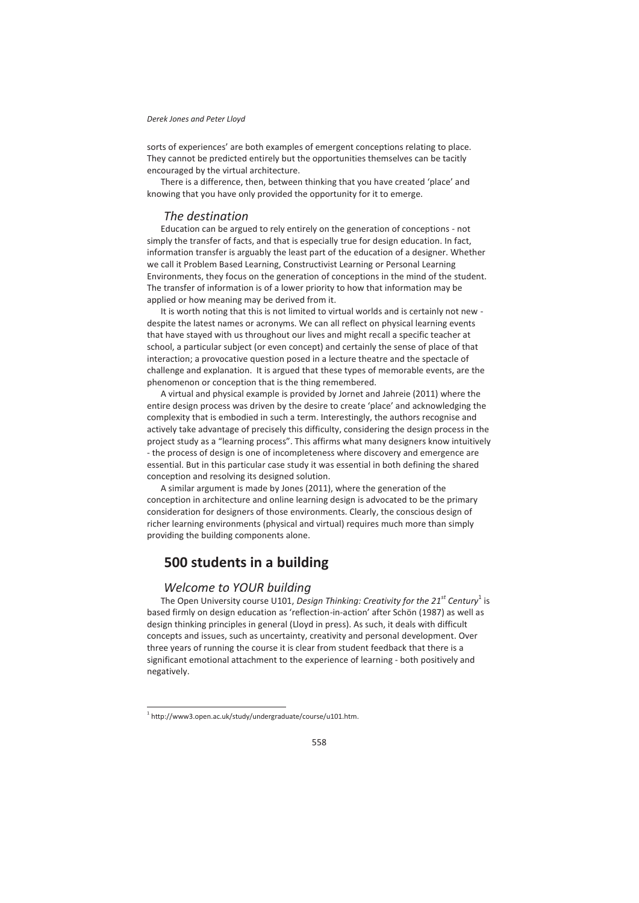sorts of experiences' are both examples of emergent conceptions relating to place. They cannot be predicted entirely but the opportunities themselves can be tacitly encouraged by the virtual architecture.

There is a difference, then, between thinking that you have created 'place' and knowing that you have only provided the opportunity for it to emerge.

## *The destination*

Education can be argued to rely entirely on the generation of conceptions - not simply the transfer of facts, and that is especially true for design education. In fact, information transfer is arguably the least part of the education of a designer. Whether we call it Problem Based Learning, Constructivist Learning or Personal Learning Environments, they focus on the generation of conceptions in the mind of the student. The transfer of information is of a lower priority to how that information may be applied or how meaning may be derived from it.

It is worth noting that this is not limited to virtual worlds and is certainly not new despite the latest names or acronyms. We can all reflect on physical learning events that have stayed with us throughout our lives and might recall a specific teacher at school, a particular subject (or even concept) and certainly the sense of place of that interaction; a provocative question posed in a lecture theatre and the spectacle of challenge and explanation. It is argued that these types of memorable events, are the phenomenon or conception that is the thing remembered.

A virtual and physical example is provided by Jornet and Jahreie (2011) where the entire design process was driven by the desire to create 'place' and acknowledging the complexity that is embodied in such a term. Interestingly, the authors recognise and actively take advantage of precisely this difficulty, considering the design process in the project study as a "learning process". This affirms what many designers know intuitively - the process of design is one of incompleteness where discovery and emergence are essential. But in this particular case study it was essential in both defining the shared conception and resolving its designed solution.

A similar argument is made by Jones (2011), where the generation of the conception in architecture and online learning design is advocated to be the primary consideration for designers of those environments. Clearly, the conscious design of richer learning environments (physical and virtual) requires much more than simply providing the building components alone.

# **500 students in a building**

#### *Welcome to YOUR building*

The Open University course U101, *Design Thinking: Creativity for the 21<sup>st</sup> Century<sup>1</sup> is* based firmly on design education as 'reflection-in-action' after Schön (1987) as well as design thinking principles in general (Lloyd in press). As such, it deals with difficult concepts and issues, such as uncertainty, creativity and personal development. Over three years of running the course it is clear from student feedback that there is a significant emotional attachment to the experience of learning - both positively and negatively.

 $\overline{a}$ 

<sup>&</sup>lt;sup>1</sup> http://www3.open.ac.uk/study/undergraduate/course/u101.htm.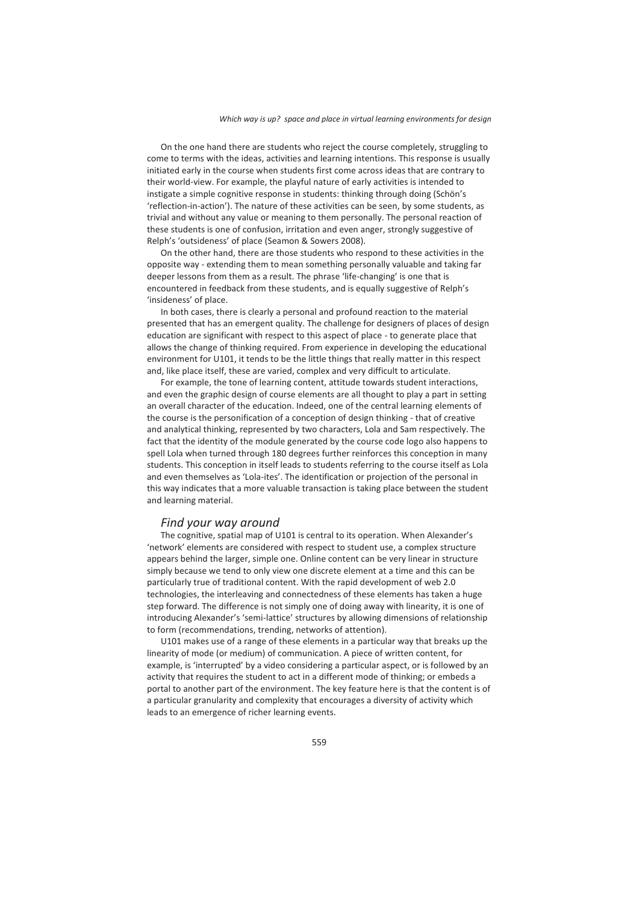On the one hand there are students who reject the course completely, struggling to come to terms with the ideas, activities and learning intentions. This response is usually initiated early in the course when students first come across ideas that are contrary to their world-view. For example, the playful nature of early activities is intended to instigate a simple cognitive response in students: thinking through doing (Schön's 'reflection-in-action'). The nature of these activities can be seen, by some students, as trivial and without any value or meaning to them personally. The personal reaction of these students is one of confusion, irritation and even anger, strongly suggestive of Relph's 'outsideness' of place (Seamon & Sowers 2008).

On the other hand, there are those students who respond to these activities in the opposite way - extending them to mean something personally valuable and taking far deeper lessons from them as a result. The phrase 'life-changing' is one that is encountered in feedback from these students, and is equally suggestive of Relph's 'insideness' of place.

In both cases, there is clearly a personal and profound reaction to the material presented that has an emergent quality. The challenge for designers of places of design education are significant with respect to this aspect of place - to generate place that allows the change of thinking required. From experience in developing the educational environment for U101, it tends to be the little things that really matter in this respect and, like place itself, these are varied, complex and very difficult to articulate.

For example, the tone of learning content, attitude towards student interactions, and even the graphic design of course elements are all thought to play a part in setting an overall character of the education. Indeed, one of the central learning elements of the course is the personification of a conception of design thinking - that of creative and analytical thinking, represented by two characters, Lola and Sam respectively. The fact that the identity of the module generated by the course code logo also happens to spell Lola when turned through 180 degrees further reinforces this conception in many students. This conception in itself leads to students referring to the course itself as Lola and even themselves as 'Lola-ites'. The identification or projection of the personal in this way indicates that a more valuable transaction is taking place between the student and learning material.

#### *Find your way around*

The cognitive, spatial map of U101 is central to its operation. When Alexander's 'network' elements are considered with respect to student use, a complex structure appears behind the larger, simple one. Online content can be very linear in structure simply because we tend to only view one discrete element at a time and this can be particularly true of traditional content. With the rapid development of web 2.0 technologies, the interleaving and connectedness of these elements has taken a huge step forward. The difference is not simply one of doing away with linearity, it is one of introducing Alexander's 'semi-lattice' structures by allowing dimensions of relationship to form (recommendations, trending, networks of attention).

U101 makes use of a range of these elements in a particular way that breaks up the linearity of mode (or medium) of communication. A piece of written content, for example, is 'interrupted' by a video considering a particular aspect, or is followed by an activity that requires the student to act in a different mode of thinking; or embeds a portal to another part of the environment. The key feature here is that the content is of a particular granularity and complexity that encourages a diversity of activity which leads to an emergence of richer learning events.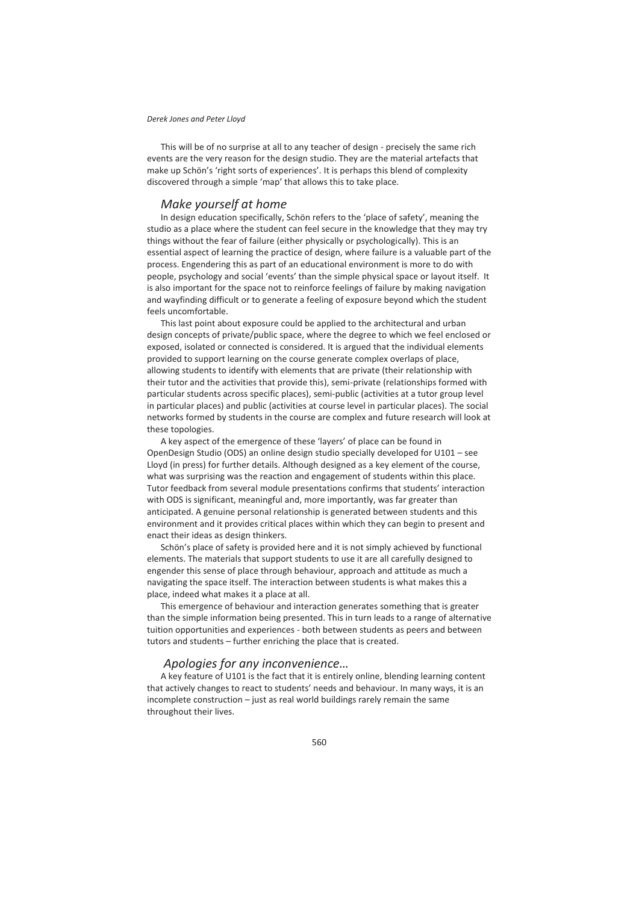This will be of no surprise at all to any teacher of design - precisely the same rich events are the very reason for the design studio. They are the material artefacts that make up Schön's 'right sorts of experiences'. It is perhaps this blend of complexity discovered through a simple 'map' that allows this to take place.

## *Make yourself at home*

In design education specifically, Schön refers to the 'place of safety', meaning the studio as a place where the student can feel secure in the knowledge that they may try things without the fear of failure (either physically or psychologically). This is an essential aspect of learning the practice of design, where failure is a valuable part of the process. Engendering this as part of an educational environment is more to do with people, psychology and social 'events' than the simple physical space or layout itself. It is also important for the space not to reinforce feelings of failure by making navigation and wayfinding difficult or to generate a feeling of exposure beyond which the student feels uncomfortable.

This last point about exposure could be applied to the architectural and urban design concepts of private/public space, where the degree to which we feel enclosed or exposed, isolated or connected is considered. It is argued that the individual elements provided to support learning on the course generate complex overlaps of place, allowing students to identify with elements that are private (their relationship with their tutor and the activities that provide this), semi-private (relationships formed with particular students across specific places), semi-public (activities at a tutor group level in particular places) and public (activities at course level in particular places). The social networks formed by students in the course are complex and future research will look at these topologies.

A key aspect of the emergence of these 'layers' of place can be found in OpenDesign Studio (ODS) an online design studio specially developed for U101 – see Lloyd (in press) for further details. Although designed as a key element of the course, what was surprising was the reaction and engagement of students within this place. Tutor feedback from several module presentations confirms that students' interaction with ODS is significant, meaningful and, more importantly, was far greater than anticipated. A genuine personal relationship is generated between students and this environment and it provides critical places within which they can begin to present and enact their ideas as design thinkers.

Schön's place of safety is provided here and it is not simply achieved by functional elements. The materials that support students to use it are all carefully designed to engender this sense of place through behaviour, approach and attitude as much a navigating the space itself. The interaction between students is what makes this a place, indeed what makes it a place at all.

This emergence of behaviour and interaction generates something that is greater than the simple information being presented. This in turn leads to a range of alternative tuition opportunities and experiences - both between students as peers and between tutors and students – further enriching the place that is created.

### *Apologies for any inconvenience…*

A key feature of U101 is the fact that it is entirely online, blending learning content that actively changes to react to students' needs and behaviour. In many ways, it is an incomplete construction – just as real world buildings rarely remain the same throughout their lives.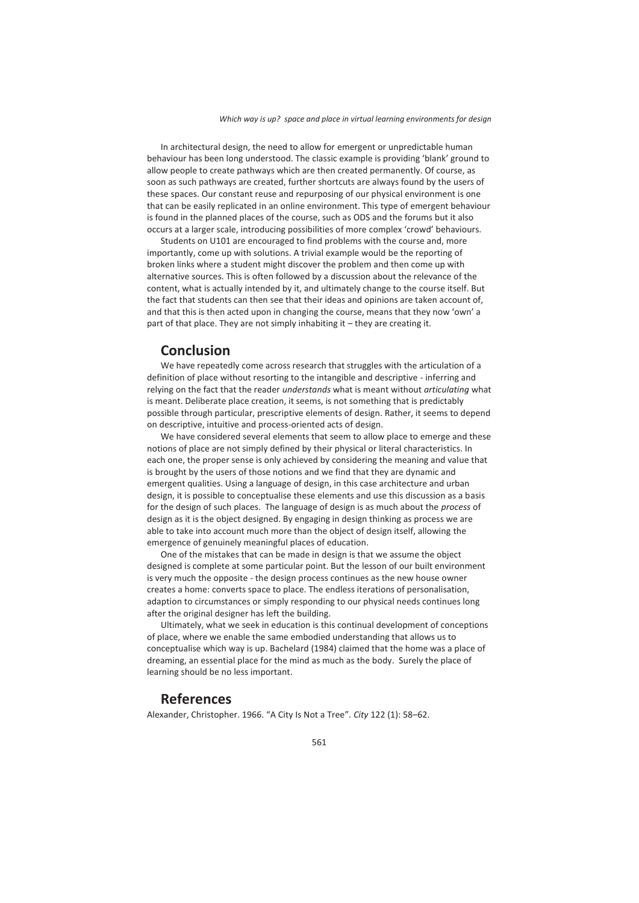In architectural design, the need to allow for emergent or unpredictable human behaviour has been long understood. The classic example is providing 'blank' ground to allow people to create pathways which are then created permanently. Of course, as soon as such pathways are created, further shortcuts are always found by the users of these spaces. Our constant reuse and repurposing of our physical environment is one that can be easily replicated in an online environment. This type of emergent behaviour is found in the planned places of the course, such as ODS and the forums but it also occurs at a larger scale, introducing possibilities of more complex 'crowd' behaviours.

Students on U101 are encouraged to find problems with the course and, more importantly, come up with solutions. A trivial example would be the reporting of broken links where a student might discover the problem and then come up with alternative sources. This is often followed by a discussion about the relevance of the content, what is actually intended by it, and ultimately change to the course itself. But the fact that students can then see that their ideas and opinions are taken account of, and that this is then acted upon in changing the course, means that they now 'own' a part of that place. They are not simply inhabiting it – they are creating it.

## **Conclusion**

We have repeatedly come across research that struggles with the articulation of a definition of place without resorting to the intangible and descriptive - inferring and relying on the fact that the reader *understands* what is meant without *articulating* what is meant. Deliberate place creation, it seems, is not something that is predictably possible through particular, prescriptive elements of design. Rather, it seems to depend on descriptive, intuitive and process-oriented acts of design.

We have considered several elements that seem to allow place to emerge and these notions of place are not simply defined by their physical or literal characteristics. In each one, the proper sense is only achieved by considering the meaning and value that is brought by the users of those notions and we find that they are dynamic and emergent qualities. Using a language of design, in this case architecture and urban design, it is possible to conceptualise these elements and use this discussion as a basis for the design of such places. The language of design is as much about the *process* of design as it is the object designed. By engaging in design thinking as process we are able to take into account much more than the object of design itself, allowing the emergence of genuinely meaningful places of education.

One of the mistakes that can be made in design is that we assume the object designed is complete at some particular point. But the lesson of our built environment is very much the opposite - the design process continues as the new house owner creates a home: converts space to place. The endless iterations of personalisation, adaption to circumstances or simply responding to our physical needs continues long after the original designer has left the building.

Ultimately, what we seek in education is this continual development of conceptions of place, where we enable the same embodied understanding that allows us to conceptualise which way is up. Bachelard (1984) claimed that the home was a place of dreaming, an essential place for the mind as much as the body. Surely the place of learning should be no less important.

## **References**

Alexander, Christopher. 1966. "A City Is Not a Tree". *City* 122 (1): 58–62.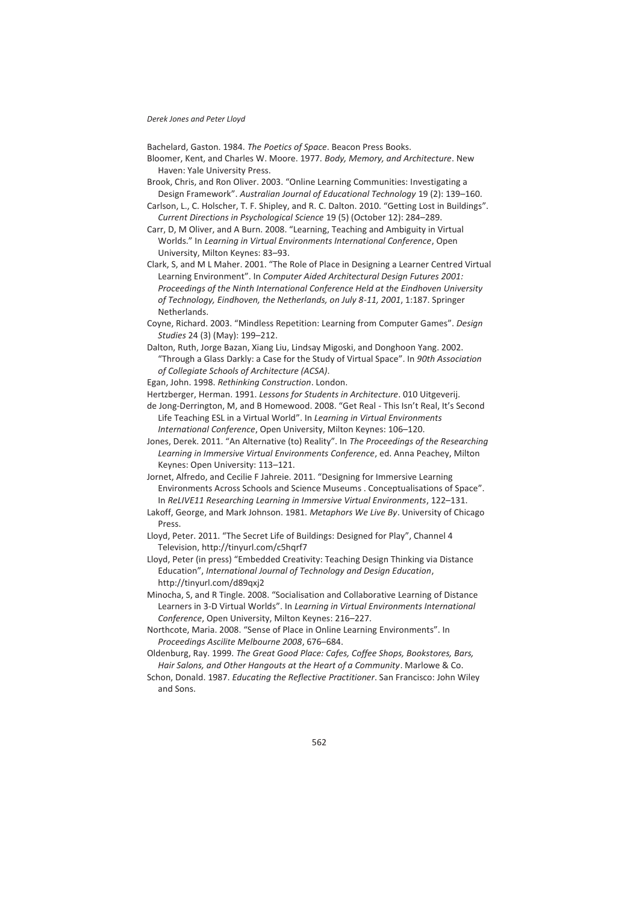Bachelard, Gaston. 1984. *The Poetics of Space*. Beacon Press Books.

- Bloomer, Kent, and Charles W. Moore. 1977. *Body, Memory, and Architecture*. New Haven: Yale University Press.
- Brook, Chris, and Ron Oliver. 2003. "Online Learning Communities: Investigating a Design Framework". *Australian Journal of Educational Technology* 19 (2): 139–160.

Carlson, L., C. Holscher, T. F. Shipley, and R. C. Dalton. 2010. "Getting Lost in Buildings". *Current Directions in Psychological Science* 19 (5) (October 12): 284–289.

Carr, D, M Oliver, and A Burn. 2008. "Learning, Teaching and Ambiguity in Virtual Worlds." In *Learning in Virtual Environments International Conference*, Open University, Milton Keynes: 83–93.

Clark, S, and M L Maher. 2001. "The Role of Place in Designing a Learner Centred Virtual Learning Environment". In *Computer Aided Architectural Design Futures 2001: Proceedings of the Ninth International Conference Held at the Eindhoven University of Technology, Eindhoven, the Netherlands, on July 8-11, 2001*, 1:187. Springer Netherlands.

Coyne, Richard. 2003. "Mindless Repetition: Learning from Computer Games". *Design Studies* 24 (3) (May): 199–212.

Dalton, Ruth, Jorge Bazan, Xiang Liu, Lindsay Migoski, and Donghoon Yang. 2002. "Through a Glass Darkly: a Case for the Study of Virtual Space". In *90th Association of Collegiate Schools of Architecture (ACSA)*.

Egan, John. 1998. *Rethinking Construction*. London.

- Hertzberger, Herman. 1991. *Lessons for Students in Architecture*. 010 Uitgeverij.
- de Jong-Derrington, M, and B Homewood. 2008. "Get Real This Isn't Real, It's Second Life Teaching ESL in a Virtual World". In *Learning in Virtual Environments International Conference*, Open University, Milton Keynes: 106–120.

Jones, Derek. 2011. "An Alternative (to) Reality". In *The Proceedings of the Researching Learning in Immersive Virtual Environments Conference*, ed. Anna Peachey, Milton Keynes: Open University: 113–121.

Jornet, Alfredo, and Cecilie F Jahreie. 2011. "Designing for Immersive Learning Environments Across Schools and Science Museums . Conceptualisations of Space". In *ReLIVE11 Researching Learning in Immersive Virtual Environments*, 122–131.

- Lakoff, George, and Mark Johnson. 1981. *Metaphors We Live By*. University of Chicago Press.
- Lloyd, Peter. 2011. "The Secret Life of Buildings: Designed for Play", Channel 4 Television, http://tinyurl.com/c5hqrf7
- Lloyd, Peter (in press) "Embedded Creativity: Teaching Design Thinking via Distance Education", *International Journal of Technology and Design Education*, http://tinyurl.com/d89qxj2
- Minocha, S, and R Tingle. 2008. "Socialisation and Collaborative Learning of Distance Learners in 3-D Virtual Worlds". In *Learning in Virtual Environments International Conference*, Open University, Milton Keynes: 216–227.
- Northcote, Maria. 2008. "Sense of Place in Online Learning Environments". In *Proceedings Ascilite Melbourne 2008*, 676–684.
- Oldenburg, Ray. 1999. *The Great Good Place: Cafes, Coffee Shops, Bookstores, Bars, Hair Salons, and Other Hangouts at the Heart of a Community*. Marlowe & Co.

Schon, Donald. 1987. *Educating the Reflective Practitioner*. San Francisco: John Wiley and Sons.